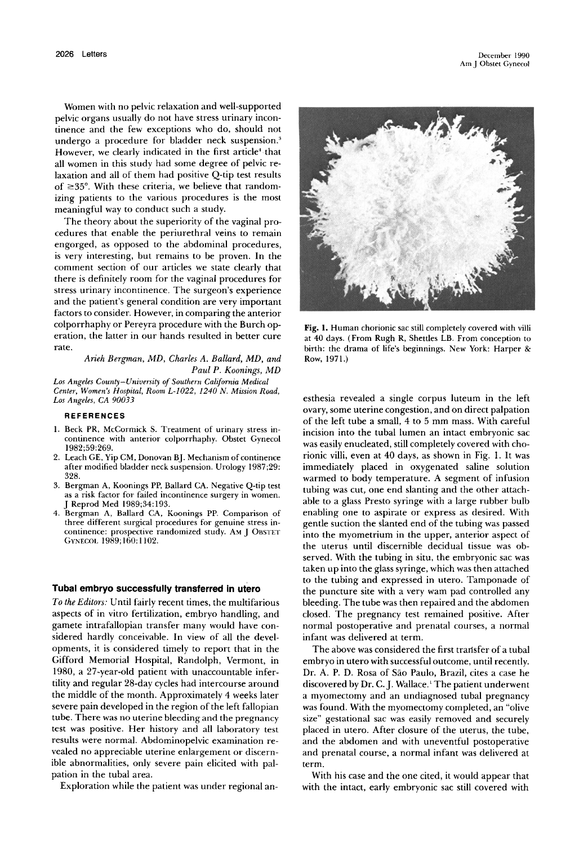Women with no pelvic relaxation and well-supported pelvic organs usually do not have stress urinary incontinence and the few exceptions who do, should not undergo a procedure for bladder neck suspension.' However, we clearly indicated in the first article' that all women in this study had some degree of pelvic relaxation and all of them had positive Q-tip test results of  $\geq$ 35°. With these criteria, we believe that randomizing patients to the various procedures is the most meaningful way to conduct such a study.

The theory about the superiority of the vaginal procedures that enable the periurethral veins to remain engorged, as opposed to the abdominal procedures, is very interesting, but remains to be proven. In the comment section of our articles we state clearly that there is definitely room for the vaginal procedures for stress urinary incontinence. The surgeon's experience and the patient's general condition are very important factors to consider. However, in comparing the anterior colporrhaphy or Pereyra procedure with the Burch operation, the latter in our hands resulted in better cure rate.

> *Arieh Bergman, MD, Charles A. Ballard, MD, and Paul P. Koonings, MD*

*Los Angeles County-University of Southern California Medical Center, Women's Hospital, Room L-I022, 1240 N. Mission Road, Los Angeles, CA 90033* 

### **REFERENCES**

- 1. Beck PR, McCormick S. Treatment of urinary stress incontinence with anterior colporrhaphy. Obstet Cynecol 1982;59:269.
- 2. Leach CE, Yip CM, Donovan BJ. Mechanism of continence after modified bladder neck suspension. Urology 1987;29: 328.
- 3. Bergman A, Koonings PP, Ballard CA. Negative Q-tip test as a risk factor for failed incontinence surgery in women. J Reprod Med 1989;34: 193.
- 4. Bergman A, Ballard CA, Koonings PP. Comparison of three different surgical procedures for genuine stress incontinence: prospective randomized study. AM J OBSTET GYNECOL 1989;160:1102.

### **Tubal embryo successfully transferred in utero**

*To the Editors:* Until fairly recent times, the multifarious aspects of in vitro fertilization, embryo handling, and gamete intrafallopian transfer many would have considered hardly conceivable. In view of all the developments, it is considered timely to report that in the Gifford Memorial Hospital, Randolph, Vermont, in 1980, a 27-year-old patient with unaccountable infertility and regular 28-day cycles had intercourse around the middle of the month. Approximately 4 weeks later severe pain developed in the region of the left fallopian tube. There was no uterine bleeding and the pregnancy test was positive. Her history and all laboratory test results were normal. Abdominopelvic examination revealed no appreciable uterine enlargement or discernible abnormalities, only severe pain elicited with palpation in the tubal area.

Exploration while the patient was under regional an-



Fig. 1. Human chorionic sac still completely covered with villi at 40 days. (From Rugh R, Shettles LB. From conception to birth: the drama of life's beginnings. New York: Harper & Row, 1971.)

esthesia revealed a single corpus luteum in the left ovary, some uterine congestion, and on direct palpation of the left tube a small, 4 to 5 mm mass. With careful incision into the tubal lumen an intact embryonic sac was easily enucleated, still completely covered with chorionic villi, even at 40 days, as shown in Fig. 1. It was immediately placed in oxygenated saline solution warmed to body temperature. A segment of infusion tubing was cut, one end slanting and the other attachable to a glass Presto syringe with a large rubber bulb enabling one to aspirate or express as desired. With gentle suction the slanted end of the tubing was passed into the myometrium in the upper, anterior aspect of the uterus until discernible decidual tissue was observed. With the tubing in situ, the embryonic sac was taken up into the glass syringe, which was then attached to the tubing and expressed in utero. Tamponade of the puncture site with a very wam pad controlled any bleeding. The tube was then repaired and the abdomen closed. The pregnancy test remained positive. After normal postoperative and prenatal courses, a normal infant was delivered at term.

The above was considered the first trarisfer of a tubal embryo in utero with successful outcome, until recently. Dr. A. P. D. Rosa of Sao Paulo, Brazil, cites a case he discovered by Dr. C. J. Wallace.<sup>1</sup> The patient underwent a myomectomy and an undiagnosed tubal pregnancy was found. With the myomectomy completed, an "olive size" gestational sac was easily removed and securely placed in utero. After closure of the uterus, the tube, and the abdomen and with uneventful postoperative and prenatal course, a normal infant was delivered at term.

With his case and the one cited, it would appear that with the intact, early embryonic sac still covered with